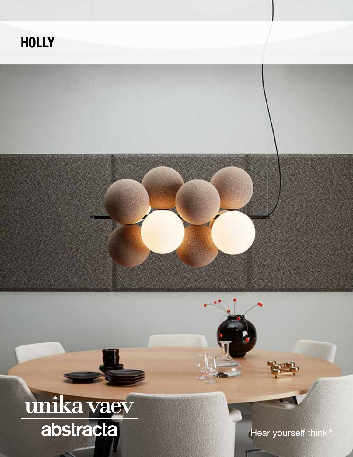#### **HOLLY**

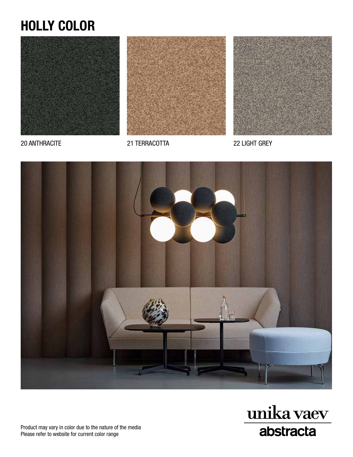## HOLLY COLOR





20 ANTHRACITE 21 TERRACOTTA 22 LIGHT GREY







Product may vary in color due to the nature of the media Please refer to website for current color range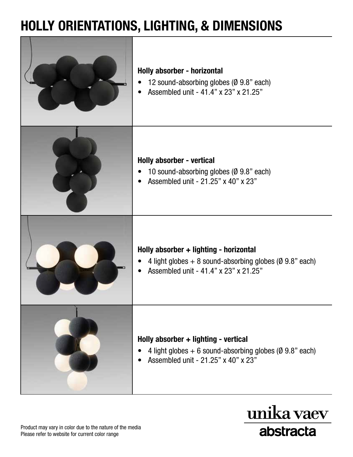### HOLLY ORIENTATIONS, LIGHTING, & DIMENSIONS



unika vaev

abstracta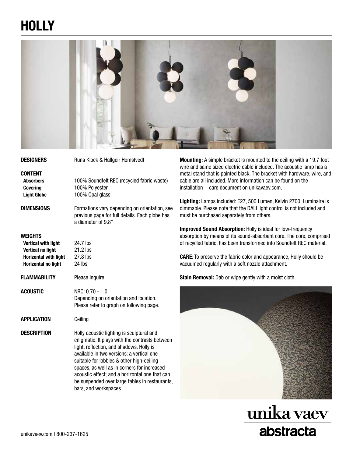# **HOLLY**



| <b>DESIGNERS</b>                                                                                                                       | Runa Klock & Hallgeir Homstvedt                                                                                                                                                                                                                                                                                                                                                                               |  |  |
|----------------------------------------------------------------------------------------------------------------------------------------|---------------------------------------------------------------------------------------------------------------------------------------------------------------------------------------------------------------------------------------------------------------------------------------------------------------------------------------------------------------------------------------------------------------|--|--|
| <b>CONTENT</b><br><b>Absorbers</b><br><b>Covering</b><br><b>Light Globe</b>                                                            | 100% Soundfelt REC (recycled fabric waste)<br>100% Polyester<br>100% Opal glass                                                                                                                                                                                                                                                                                                                               |  |  |
| <b>DIMENSIONS</b>                                                                                                                      | Formations vary depending on orientation, see<br>previous page for full details. Each globe has<br>a diameter of 9.8"                                                                                                                                                                                                                                                                                         |  |  |
| <b>WEIGHTS</b><br><b>Vertical with light</b><br><b>Vertical no light</b><br><b>Horizontal with light</b><br><b>Horizontal no light</b> | 24.7 lbs<br>21.2 lbs<br>27.8 lbs<br>24 lbs                                                                                                                                                                                                                                                                                                                                                                    |  |  |
| <b>FLAMMABILITY</b>                                                                                                                    | Please inquire                                                                                                                                                                                                                                                                                                                                                                                                |  |  |
| <b>ACOUSTIC</b>                                                                                                                        | NRC: 0.70 - 1.0<br>Depending on orientation and location.<br>Please refer to graph on following page.                                                                                                                                                                                                                                                                                                         |  |  |
| <b>APPLICATION</b>                                                                                                                     | Ceiling                                                                                                                                                                                                                                                                                                                                                                                                       |  |  |
| <b>DESCRIPTION</b>                                                                                                                     | Holly acoustic lighting is sculptural and<br>enigmatic. It plays with the contrasts between<br>light, reflection, and shadows. Holly is<br>available in two versions: a vertical one<br>suitable for lobbies & other high-ceiling<br>spaces, as well as in corners for increased<br>acoustic effect; and a horizontal one that can<br>be suspended over large tables in restaurants,<br>bars, and workspaces. |  |  |

Mounting: A simple bracket is mounted to the ceiling with a 19.7 foot wire and same sized electric cable included. The acoustic lamp has a metal stand that is painted black. The bracket with hardware, wire, and cable are all included. More information can be found on the  $installation + care document on unikavaev.com.$ 

Lighting: Lamps included: E27, 500 Lumen, Kelvin 2700. Luminaire is dimmable. Please note that the DALI light control is not included and must be purchased separately from others.

Improved Sound Absorption: Holly is ideal for low-frequency absorption by means of its sound-absorbent core. The core, comprised of recycled fabric, has been transformed into Soundfelt REC material.

CARE: To preserve the fabric color and appearance, Holly should be vacuumed regularly with a soft nozzle attachment.

Stain Removal: Dab or wipe gently with a moist cloth.